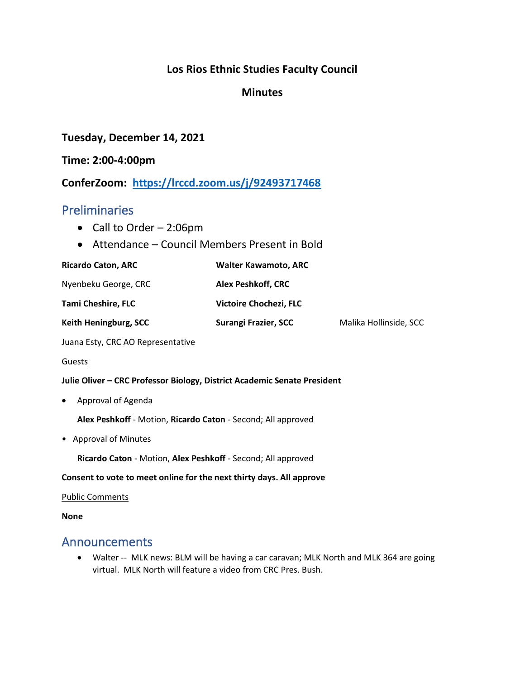### **Los Rios Ethnic Studies Faculty Council**

### **Minutes**

### **Tuesday, December 14, 2021**

#### **Time: 2:00-4:00pm**

**ConferZoom: <https://lrccd.zoom.us/j/92493717468>**

## Preliminaries

- Call to Order 2:06pm
- Attendance Council Members Present in Bold

| <b>Ricardo Caton, ARC</b>    | <b>Walter Kawamoto, ARC</b> |                        |
|------------------------------|-----------------------------|------------------------|
| Nyenbeku George, CRC         | <b>Alex Peshkoff, CRC</b>   |                        |
| <b>Tami Cheshire, FLC</b>    | Victoire Chochezi, FLC      |                        |
| <b>Keith Heningburg, SCC</b> | Surangi Frazier, SCC        | Malika Hollinside, SCC |

Juana Esty, CRC AO Representative

#### Guests

#### **Julie Oliver – CRC Professor Biology, District Academic Senate President**

• Approval of Agenda

**Alex Peshkoff** - Motion, **Ricardo Caton** - Second; All approved

• Approval of Minutes

**Ricardo Caton** - Motion, **Alex Peshkoff** - Second; All approved

#### **Consent to vote to meet online for the next thirty days. All approve**

#### Public Comments

#### **None**

## Announcements

• Walter -- MLK news: BLM will be having a car caravan; MLK North and MLK 364 are going virtual. MLK North will feature a video from CRC Pres. Bush.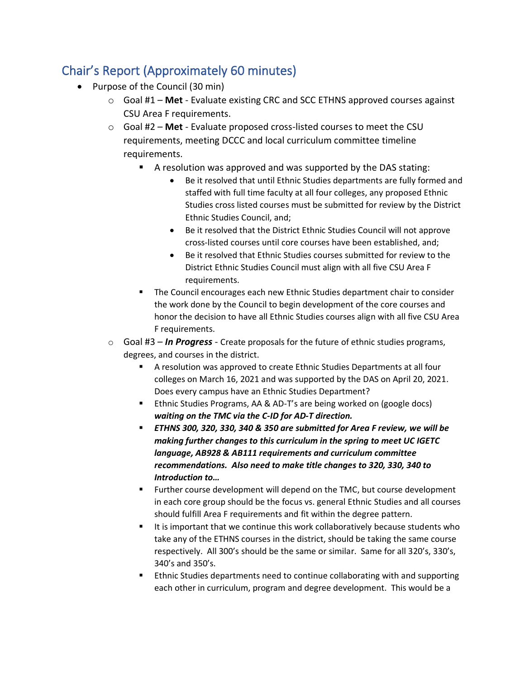# Chair's Report (Approximately 60 minutes)

- Purpose of the Council (30 min)
	- o Goal #1 **Met** Evaluate existing CRC and SCC ETHNS approved courses against CSU Area F requirements.
	- o Goal #2 **Met** Evaluate proposed cross-listed courses to meet the CSU requirements, meeting DCCC and local curriculum committee timeline requirements.
		- A resolution was approved and was supported by the DAS stating:
			- Be it resolved that until Ethnic Studies departments are fully formed and staffed with full time faculty at all four colleges, any proposed Ethnic Studies cross listed courses must be submitted for review by the District Ethnic Studies Council, and;
			- Be it resolved that the District Ethnic Studies Council will not approve cross-listed courses until core courses have been established, and;
			- Be it resolved that Ethnic Studies courses submitted for review to the District Ethnic Studies Council must align with all five CSU Area F requirements.
		- The Council encourages each new Ethnic Studies department chair to consider the work done by the Council to begin development of the core courses and honor the decision to have all Ethnic Studies courses align with all five CSU Area F requirements.
	- o Goal #3 *In Progress* Create proposals for the future of ethnic studies programs, degrees, and courses in the district.
		- A resolution was approved to create Ethnic Studies Departments at all four colleges on March 16, 2021 and was supported by the DAS on April 20, 2021. Does every campus have an Ethnic Studies Department?
		- Ethnic Studies Programs, AA & AD-T's are being worked on (google docs) *waiting on the TMC via the C-ID for AD-T direction.*
		- *ETHNS 300, 320, 330, 340 & 350 are submitted for Area F review, we will be making further changes to this curriculum in the spring to meet UC IGETC language, AB928 & AB111 requirements and curriculum committee recommendations. Also need to make title changes to 320, 330, 340 to Introduction to…*
		- Further course development will depend on the TMC, but course development in each core group should be the focus vs. general Ethnic Studies and all courses should fulfill Area F requirements and fit within the degree pattern.
		- It is important that we continue this work collaboratively because students who take any of the ETHNS courses in the district, should be taking the same course respectively. All 300's should be the same or similar. Same for all 320's, 330's, 340's and 350's.
		- Ethnic Studies departments need to continue collaborating with and supporting each other in curriculum, program and degree development. This would be a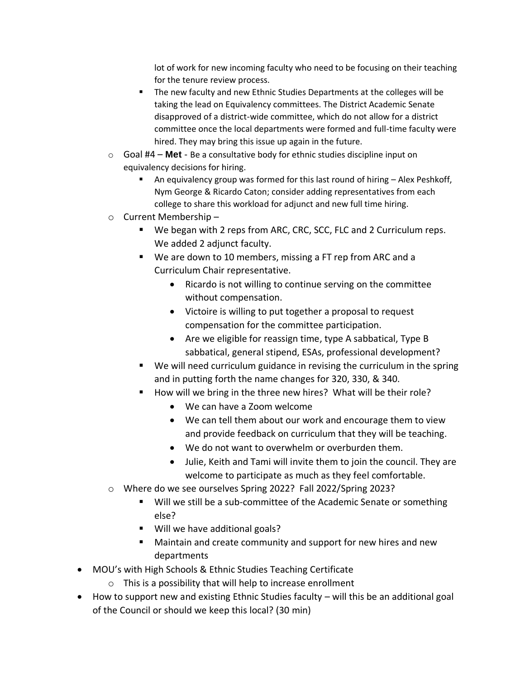lot of work for new incoming faculty who need to be focusing on their teaching for the tenure review process.

- The new faculty and new Ethnic Studies Departments at the colleges will be taking the lead on Equivalency committees. The District Academic Senate disapproved of a district-wide committee, which do not allow for a district committee once the local departments were formed and full-time faculty were hired. They may bring this issue up again in the future.
- o Goal #4 **Met** Be a consultative body for ethnic studies discipline input on equivalency decisions for hiring.
	- An equivalency group was formed for this last round of hiring  $-$  Alex Peshkoff, Nym George & Ricardo Caton; consider adding representatives from each college to share this workload for adjunct and new full time hiring.
- o Current Membership
	- We began with 2 reps from ARC, CRC, SCC, FLC and 2 Curriculum reps. We added 2 adjunct faculty.
	- We are down to 10 members, missing a FT rep from ARC and a Curriculum Chair representative.
		- Ricardo is not willing to continue serving on the committee without compensation.
		- Victoire is willing to put together a proposal to request compensation for the committee participation.
		- Are we eligible for reassign time, type A sabbatical, Type B sabbatical, general stipend, ESAs, professional development?
	- We will need curriculum guidance in revising the curriculum in the spring and in putting forth the name changes for 320, 330, & 340.
	- How will we bring in the three new hires? What will be their role?
		- We can have a Zoom welcome
		- We can tell them about our work and encourage them to view and provide feedback on curriculum that they will be teaching.
		- We do not want to overwhelm or overburden them.
		- Julie, Keith and Tami will invite them to join the council. They are welcome to participate as much as they feel comfortable.
- o Where do we see ourselves Spring 2022? Fall 2022/Spring 2023?
	- Will we still be a sub-committee of the Academic Senate or something else?
	- Will we have additional goals?
	- Maintain and create community and support for new hires and new departments
- MOU's with High Schools & Ethnic Studies Teaching Certificate
	- $\circ$  This is a possibility that will help to increase enrollment
- How to support new and existing Ethnic Studies faculty will this be an additional goal of the Council or should we keep this local? (30 min)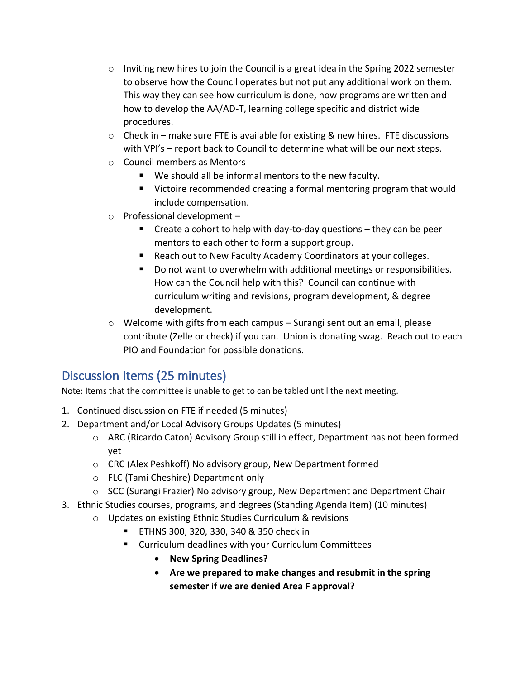- $\circ$  Inviting new hires to join the Council is a great idea in the Spring 2022 semester to observe how the Council operates but not put any additional work on them. This way they can see how curriculum is done, how programs are written and how to develop the AA/AD-T, learning college specific and district wide procedures.
- $\circ$  Check in make sure FTE is available for existing & new hires. FTE discussions with VPI's – report back to Council to determine what will be our next steps.
- o Council members as Mentors
	- We should all be informal mentors to the new faculty.
	- Victoire recommended creating a formal mentoring program that would include compensation.
- $\circ$  Professional development
	- $\blacksquare$  Create a cohort to help with day-to-day questions  $-$  they can be peer mentors to each other to form a support group.
	- Reach out to New Faculty Academy Coordinators at your colleges.
	- Do not want to overwhelm with additional meetings or responsibilities. How can the Council help with this? Council can continue with curriculum writing and revisions, program development, & degree development.
- $\circ$  Welcome with gifts from each campus Surangi sent out an email, please contribute (Zelle or check) if you can. Union is donating swag. Reach out to each PIO and Foundation for possible donations.

## Discussion Items (25 minutes)

Note: Items that the committee is unable to get to can be tabled until the next meeting.

- 1. Continued discussion on FTE if needed (5 minutes)
- 2. Department and/or Local Advisory Groups Updates (5 minutes)
	- o ARC (Ricardo Caton) Advisory Group still in effect, Department has not been formed yet
	- o CRC (Alex Peshkoff) No advisory group, New Department formed
	- o FLC (Tami Cheshire) Department only
	- $\circ$  SCC (Surangi Frazier) No advisory group, New Department and Department Chair
- 3. Ethnic Studies courses, programs, and degrees (Standing Agenda Item) (10 minutes)
	- o Updates on existing Ethnic Studies Curriculum & revisions
		- ETHNS 300, 320, 330, 340 & 350 check in
		- Curriculum deadlines with your Curriculum Committees
			- **New Spring Deadlines?**
			- **Are we prepared to make changes and resubmit in the spring semester if we are denied Area F approval?**